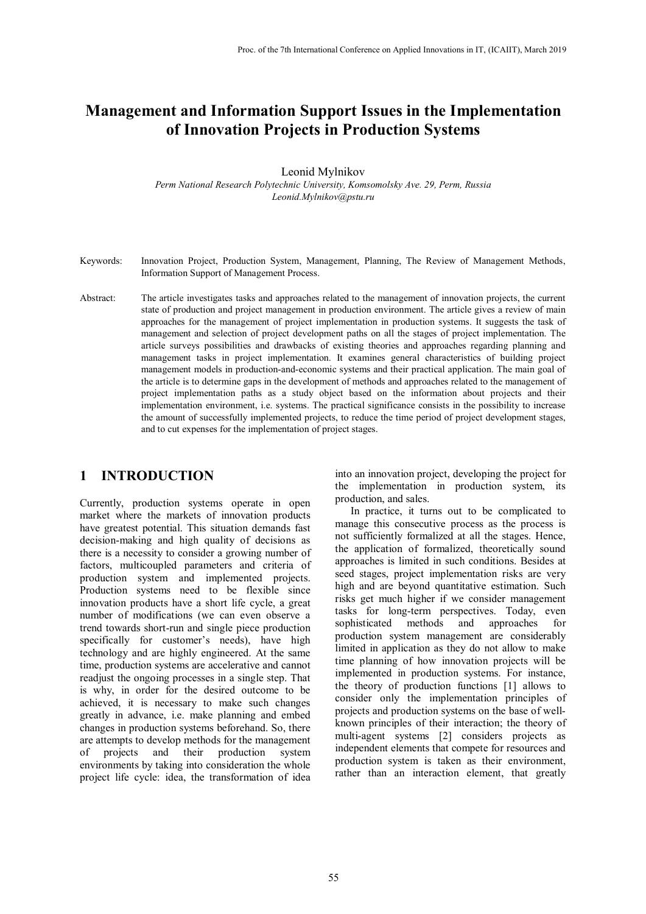# **Management and Information Support Issues in the Implementation of Innovation Projects in Production Systems**

Leonid Mylnikov

*Perm National Research Polytechnic University, Komsomolsky Ave. 29, Perm, Russia Leonid.Mylnikov@pstu.ru*

- Keywords: Innovation Project, Production System, Management, Planning, The Review of Management Methods, Information Support of Management Process.
- Abstract: The article investigates tasks and approaches related to the management of innovation projects, the current state of production and project management in production environment. The article gives a review of main approaches for the management of project implementation in production systems. It suggests the task of management and selection of project development paths on all the stages of project implementation. The article surveys possibilities and drawbacks of existing theories and approaches regarding planning and management tasks in project implementation. It examines general characteristics of building project management models in production-and-economic systems and their practical application. The main goal of the article is to determine gaps in the development of methods and approaches related to the management of project implementation paths as a study object based on the information about projects and their implementation environment, i.e. systems. The practical significance consists in the possibility to increase the amount of successfully implemented projects, to reduce the time period of project development stages, and to cut expenses for the implementation of project stages.

#### **1 INTRODUCTION**

Currently, production systems operate in open market where the markets of innovation products have greatest potential. This situation demands fast decision-making and high quality of decisions as there is a necessity to consider a growing number of factors, multicoupled parameters and criteria of production system and implemented projects. Production systems need to be flexible since innovation products have a short life cycle, a great number of modifications (we can even observe a trend towards short-run and single piece production specifically for customer's needs), have high technology and are highly engineered. At the same time, production systems are accelerative and cannot readjust the ongoing processes in a single step. That is why, in order for the desired outcome to be achieved, it is necessary to make such changes greatly in advance, i.e. make planning and embed changes in production systems beforehand. So, there are attempts to develop methods for the management of projects and their production system environments by taking into consideration the whole project life cycle: idea, the transformation of idea

into an innovation project, developing the project for the implementation in production system, its production, and sales.

In practice, it turns out to be complicated to manage this consecutive process as the process is not sufficiently formalized at all the stages. Hence, the application of formalized, theoretically sound approaches is limited in such conditions. Besides at seed stages, project implementation risks are very high and are beyond quantitative estimation. Such risks get much higher if we consider management tasks for long-term perspectives. Today, even sophisticated methods and approaches for production system management are considerably limited in application as they do not allow to make time planning of how innovation projects will be implemented in production systems. For instance, the theory of production functions [1] allows to consider only the implementation principles of projects and production systems on the base of wellknown principles of their interaction; the theory of multi-agent systems [2] considers projects as independent elements that compete for resources and production system is taken as their environment, rather than an interaction element, that greatly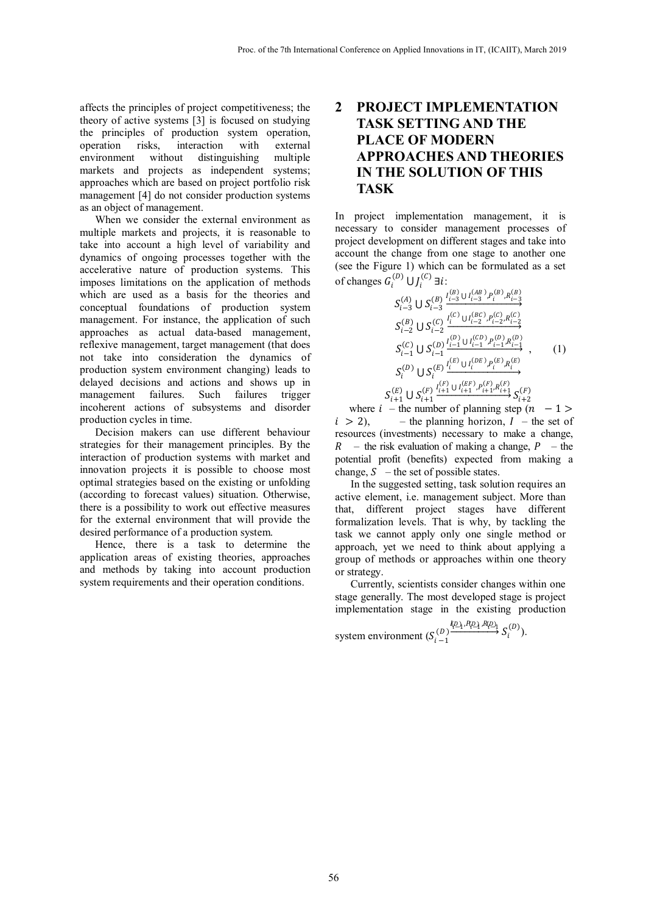affects the principles of project competitiveness; the theory of active systems [3] is focused on studying the principles of production system operation, operation risks, interaction with external environment without distinguishing multiple markets and projects as independent systems; approaches which are based on project portfolio risk management [4] do not consider production systems as an object of management.

When we consider the external environment as multiple markets and projects, it is reasonable to take into account a high level of variability and dynamics of ongoing processes together with the accelerative nature of production systems. This imposes limitations on the application of methods which are used as a basis for the theories and conceptual foundations of production system management. For instance, the application of such approaches as actual data-based management, reflexive management, target management (that does not take into consideration the dynamics of production system environment changing) leads to delayed decisions and actions and shows up in management failures. Such failures trigger incoherent actions of subsystems and disorder production cycles in time.

Decision makers can use different behaviour strategies for their management principles. By the interaction of production systems with market and innovation projects it is possible to choose most optimal strategies based on the existing or unfolding (according to forecast values) situation. Otherwise, there is a possibility to work out effective measures for the external environment that will provide the desired performance of a production system.

Hence, there is a task to determine the application areas of existing theories, approaches and methods by taking into account production system requirements and their operation conditions.

## **2 PROJECT IMPLEMENTATION TASK SETTING AND THE PLACE OF MODERN APPROACHES AND THEORIES IN THE SOLUTION OF THIS TASK**

In project implementation management, it is necessary to consider management processes of project development on different stages and take into account the change from one stage to another one (see the Figure 1) which can be formulated as a set of changes  $G_i^{(D)} \cup J_i$  $i^{(C)}$  ∃ $i$ :

$$
S_{i-3}^{(A)} \cup S_{i-3}^{(B)} \xrightarrow{l_{i-3}^{(B)} \cup l_{i-3}^{(AB)}, P_i^{(B)}, R_{i-3}^{(B)}}
$$
  
\n
$$
S_{i-2}^{(B)} \cup S_{i-2}^{(C)} \xrightarrow{l_i^{(C)} \cup l_{i-2}^{(BC)}, P_{i-2}^{(C)}, R_{i-2}^{(C)}}
$$
  
\n
$$
S_{i-1}^{(C)} \cup S_{i-1}^{(D)} \xrightarrow{l_{i-1}^{(D)} \cup l_{i-1}^{(CD)}, P_{i-1}^{(D)}, R_{i-1}^{(D)}},
$$
  
\n
$$
S_i^{(D)} \cup S_i^{(E)} \xrightarrow{l_i^{(E)} \cup l_i^{(DE)}, P_i^{(E)}, R_i^{(E)}},
$$
  
\n
$$
S_{i+1}^{(E)} \cup S_{i+1}^{(F)} \xrightarrow{l_i^{(E)} \cup l_{i+1}^{(EF)}, P_{i+1}^{(F)}, R_{i+1}^{(F)}}, S_{i+2}^{(F)}
$$
  
\n(1)

where  $i$  – the number of planning step  $(n - 1)$  $i > 2$ ), – the planning horizon,  $I$  – the set of resources (investments) necessary to make a change,  $R$  – the risk evaluation of making a change,  $P$  – the potential profit (benefits) expected from making a change,  $S$  – the set of possible states.

In the suggested setting, task solution requires an active element, i.e. management subject. More than that, different project stages have different formalization levels. That is why, by tackling the task we cannot apply only one single method or approach, yet we need to think about applying a group of methods or approaches within one theory or strategy.

Currently, scientists consider changes within one stage generally. The most developed stage is project implementation stage in the existing production

 $(\mathcal{L}_1, \mathcal{L}_2)$ ,  $\mathcal{L}_1$ ,  $(\mathcal{L}_2)$ system environment  $(S_i)$ −  $\overline{\nu}$ 1  $\bigcap_{i=1}^{\ell_i D_1, \ell_i D_1, \ell_i D_2} S_i^{(D)}\big)$ .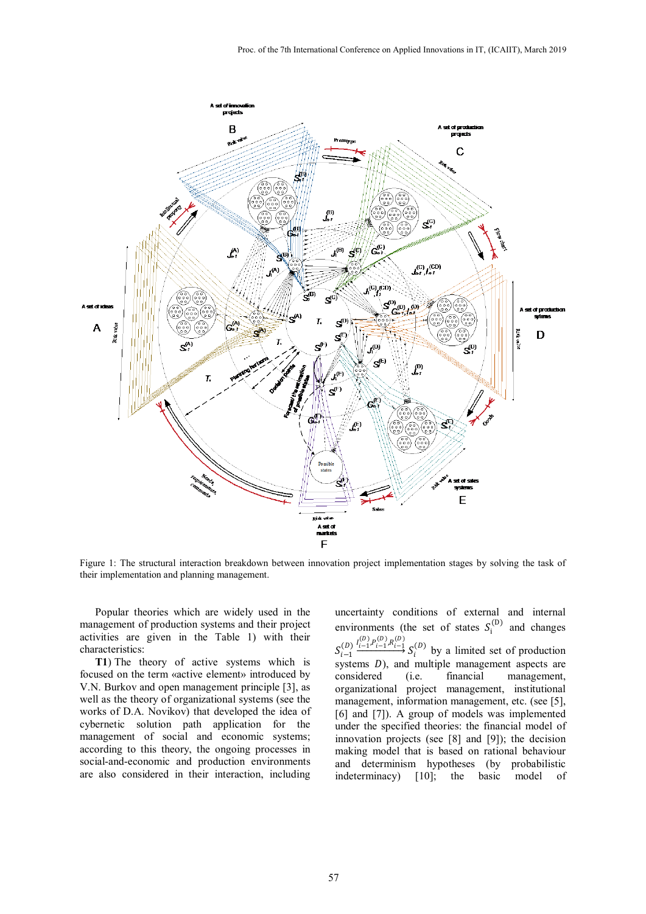

Figure 1: The structural interaction breakdown between innovation project implementation stages by solving the task of their implementation and planning management.

Popular theories which are widely used in the management of production systems and their project activities are given in the Table 1) with their characteristics:

**T1**) The theory of active systems which is focused on the term «active element» introduced by V.N. Burkov and open management principle [3], as well as the theory of organizational systems (see the works of D.A. Novikov) that developed the idea of cybernetic solution path application for the management of social and economic systems; according to this theory, the ongoing processes in social-and-economic and production environments are also considered in their interaction, including

uncertainty conditions of external and internal environments (the set of states  $S_i^{(D)}$  and changes  $S_{i-1}^{(D)} \xrightarrow{I_{i-1}^{(D)}, P_{i-1}^{(D)}, R_{i-1}^{(D)}}$  $\underbrace{\overbrace{\cdots}}^{\cdots}$   $S_i^{(D)}$  by a limited set of production systems  $D$ ), and multiple management aspects are considered (i.e. financial management. management, organizational project management, institutional management, information management, etc. (see [5], [6] and [7]). A group of models was implemented under the specified theories: the financial model of innovation projects (see [8] and [9]); the decision making model that is based on rational behaviour and determinism hypotheses (by probabilistic indeterminacy) [10]; the basic model of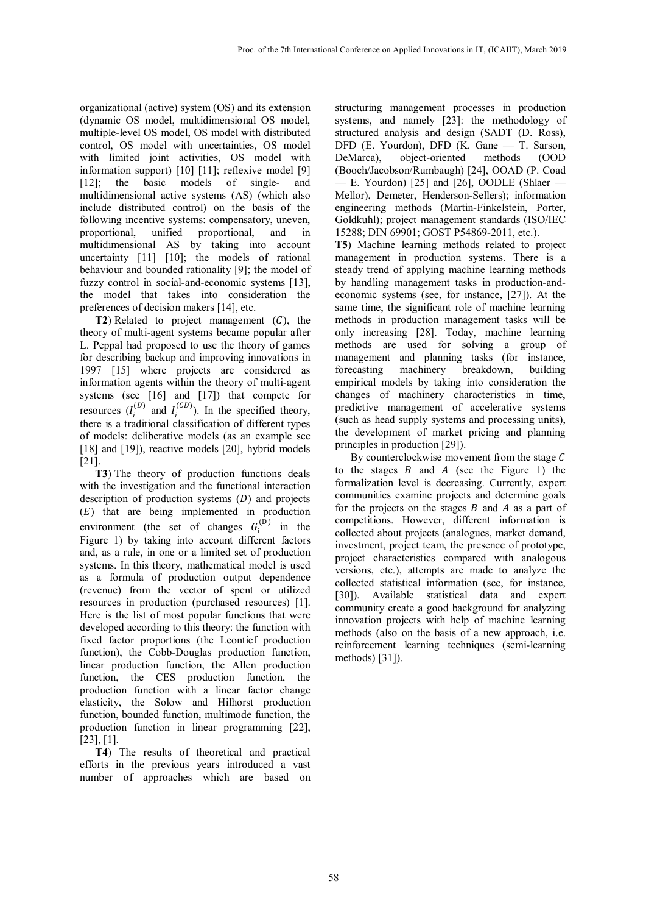organizational (active) system (OS) and its extension (dynamic OS model, multidimensional OS model, multiple-level OS model, OS model with distributed control, OS model with uncertainties, OS model with limited joint activities, OS model with information support) [10] [11]; reflexive model [9] [12]; the basic models of single- and multidimensional active systems (AS) (which also include distributed control) on the basis of the following incentive systems: compensatory, uneven, proportional, unified proportional, and in multidimensional AS by taking into account uncertainty [11] [10]; the models of rational behaviour and bounded rationality [9]; the model of fuzzy control in social-and-economic systems [13], the model that takes into consideration the preferences of decision makers [14], etc.

**T2**) Related to project management  $(C)$ , the theory of multi-agent systems became popular after L. Peppal had proposed to use the theory of games for describing backup and improving innovations in 1997 [15] where projects are considered as information agents within the theory of multi-agent systems (see [16] and [17]) that compete for resources  $(I_i^{(D)}$  and  $I_i^{(CD)}$ ). In the specified theory, there is a traditional classification of different types of models: deliberative models (as an example see [18] and [19]), reactive models [20], hybrid models [21].

**Т3**) The theory of production functions deals with the investigation and the functional interaction description of production systems  $(D)$  and projects  $(E)$  that are being implemented in production environment (the set of changes  $G_i^{(D)}$  in the Figure 1) by taking into account different factors and, as a rule, in one or a limited set of production systems. In this theory, mathematical model is used as a formula of production output dependence (revenue) from the vector of spent or utilized resources in production (purchased resources) [1]. Here is the list of most popular functions that were developed according to this theory: the function with fixed factor proportions (the Leontief production function), the Cobb-Douglas production function, linear production function, the Allen production function, the CES production function, the production function with a linear factor change elasticity, the Solow and Hilhorst production function, bounded function, multimode function, the production function in linear programming [22], [23], [1].

**Т4**) The results of theoretical and practical efforts in the previous years introduced a vast number of approaches which are based on

structuring management processes in production systems, and namely [23]: the methodology of structured analysis and design (SADT (D. Ross), DFD (E. Yourdon), DFD (K. Gane — T. Sarson, DeMarca), object-oriented methods (OOD (Booch/Jacobson/Rumbaugh) [24], OOAD (P. Coad  $-$  E. Yourdon) [25] and [26], OODLE (Shlaer  $-$ Mellor), Demeter, Henderson-Sellers); information engineering methods (Martin-Finkelstein, Porter, Goldkuhl); project management standards (ISO/IEC 15288; DIN 69901; GOST Р54869-2011, etc.).

**Т5**) Machine learning methods related to project management in production systems. There is a steady trend of applying machine learning methods by handling management tasks in production-andeconomic systems (see, for instance, [27]). At the same time, the significant role of machine learning methods in production management tasks will be only increasing [28]. Today, machine learning methods are used for solving a group of management and planning tasks (for instance, forecasting machinery breakdown, building empirical models by taking into consideration the changes of machinery characteristics in time, predictive management of accelerative systems (such as head supply systems and processing units), the development of market pricing and planning principles in production [29]).

By counterclockwise movement from the stage  $C$ to the stages  $B$  and  $A$  (see the Figure 1) the formalization level is decreasing. Currently, expert communities examine projects and determine goals for the projects on the stages  $B$  and  $A$  as a part of competitions. However, different information is collected about projects (analogues, market demand, investment, project team, the presence of prototype, project characteristics compared with analogous versions, etc.), attempts are made to analyze the collected statistical information (see, for instance, [30]). Available statistical data and expert community create a good background for analyzing innovation projects with help of machine learning methods (also on the basis of a new approach, i.e. reinforcement learning techniques (semi-learning methods) [31]).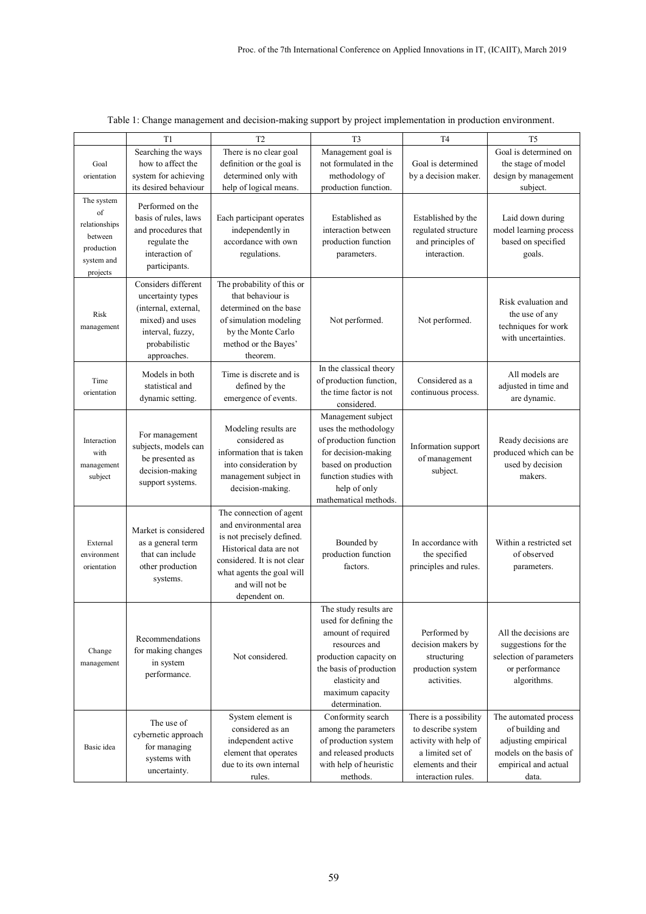|                       | T1                                                                 | T <sub>2</sub>                                                                              | T <sub>3</sub>                                | T <sub>4</sub>                                   | T <sub>5</sub>                                |
|-----------------------|--------------------------------------------------------------------|---------------------------------------------------------------------------------------------|-----------------------------------------------|--------------------------------------------------|-----------------------------------------------|
|                       | Searching the ways                                                 | There is no clear goal                                                                      | Management goal is                            |                                                  | Goal is determined on                         |
| Goal                  | how to affect the                                                  | definition or the goal is                                                                   | not formulated in the                         | Goal is determined                               | the stage of model                            |
| orientation           | system for achieving                                               | determined only with                                                                        | methodology of                                | by a decision maker.                             | design by management                          |
|                       | its desired behaviour                                              | help of logical means.                                                                      | production function.                          |                                                  | subject.                                      |
| The system            | Performed on the                                                   |                                                                                             |                                               |                                                  |                                               |
| of                    | basis of rules, laws                                               | Each participant operates                                                                   | Established as                                | Established by the                               | Laid down during                              |
| relationships         | and procedures that                                                | independently in                                                                            | interaction between                           | regulated structure                              | model learning process                        |
| between               | regulate the                                                       | accordance with own                                                                         | production function                           | and principles of                                | based on specified                            |
| production            | interaction of                                                     | regulations.                                                                                | parameters.                                   | interaction.                                     | goals.                                        |
| system and            | participants.                                                      |                                                                                             |                                               |                                                  |                                               |
| projects              | Considers different                                                |                                                                                             |                                               |                                                  |                                               |
|                       | uncertainty types                                                  | The probability of this or<br>that behaviour is                                             |                                               |                                                  |                                               |
|                       | (internal, external,                                               | determined on the base                                                                      |                                               | Not performed.                                   | Risk evaluation and                           |
| Risk<br>management    | mixed) and uses                                                    | of simulation modeling                                                                      | Not performed.                                |                                                  | the use of any                                |
|                       | interval, fuzzy,                                                   | by the Monte Carlo                                                                          |                                               |                                                  | techniques for work                           |
|                       | probabilistic                                                      | method or the Bayes'                                                                        |                                               |                                                  | with uncertainties.                           |
|                       | approaches.                                                        | theorem.                                                                                    |                                               |                                                  |                                               |
|                       | Models in both                                                     | Time is discrete and is                                                                     | In the classical theory                       |                                                  | All models are                                |
| Time                  | statistical and                                                    | defined by the                                                                              | of production function,                       | Considered as a                                  | adjusted in time and                          |
| orientation           | dynamic setting.                                                   | emergence of events.                                                                        | the time factor is not                        | continuous process.                              | are dynamic.                                  |
|                       |                                                                    |                                                                                             | considered.                                   |                                                  |                                               |
|                       |                                                                    |                                                                                             | Management subject                            |                                                  |                                               |
| Interaction<br>with   | For management<br>subjects, models can<br>be presented as          | Modeling results are<br>considered as<br>information that is taken<br>into consideration by | uses the methodology                          | Information support<br>of management<br>subject. |                                               |
|                       |                                                                    |                                                                                             | of production function<br>for decision-making |                                                  | Ready decisions are<br>produced which can be  |
|                       |                                                                    |                                                                                             | based on production                           |                                                  | used by decision                              |
| management<br>subject | decision-making                                                    | management subject in                                                                       | function studies with                         |                                                  | makers.                                       |
|                       | support systems.                                                   | decision-making.                                                                            | help of only                                  |                                                  |                                               |
|                       |                                                                    |                                                                                             | mathematical methods.                         |                                                  |                                               |
|                       |                                                                    | The connection of agent                                                                     |                                               | In accordance with<br>the specified              |                                               |
|                       | Market is considered<br>as a general term<br>that can include      | and environmental area                                                                      |                                               |                                                  |                                               |
| External              |                                                                    | is not precisely defined.                                                                   | Bounded by                                    |                                                  | Within a restricted set                       |
| environment           |                                                                    | Historical data are not                                                                     | production function                           |                                                  | of observed                                   |
| orientation           | other production                                                   | considered. It is not clear                                                                 | factors.                                      | principles and rules.                            | parameters.                                   |
|                       | systems.                                                           | what agents the goal will                                                                   |                                               |                                                  |                                               |
|                       |                                                                    | and will not be                                                                             |                                               |                                                  |                                               |
|                       |                                                                    | dependent on.                                                                               | The study results are                         |                                                  |                                               |
|                       | Recommendations<br>for making changes<br>in system<br>performance. | Not considered.                                                                             | used for defining the                         |                                                  |                                               |
| Change<br>management  |                                                                    |                                                                                             | amount of required                            | Performed by                                     | All the decisions are                         |
|                       |                                                                    |                                                                                             | resources and                                 | decision makers by                               | suggestions for the                           |
|                       |                                                                    |                                                                                             | production capacity on                        | structuring                                      | selection of parameters                       |
|                       |                                                                    |                                                                                             | the basis of production                       | production system                                | or performance                                |
|                       |                                                                    |                                                                                             | elasticity and                                | activities.                                      | algorithms.                                   |
|                       |                                                                    |                                                                                             | maximum capacity                              |                                                  |                                               |
|                       |                                                                    |                                                                                             | determination.                                |                                                  |                                               |
|                       | The use of                                                         | System element is                                                                           | Conformity search                             | There is a possibility                           | The automated process                         |
| Basic idea            | cybernetic approach                                                | considered as an                                                                            | among the parameters                          | to describe system                               | of building and                               |
|                       | for managing                                                       | independent active<br>element that operates                                                 | of production system<br>and released products | activity with help of<br>a limited set of        | adjusting empirical<br>models on the basis of |
|                       | systems with                                                       | due to its own internal                                                                     | with help of heuristic                        | elements and their                               | empirical and actual                          |
|                       | uncertainty.                                                       | rules.                                                                                      | methods.                                      | interaction rules.                               | data.                                         |

| Table 1: Change management and decision-making support by project implementation in production environment. |  |  |
|-------------------------------------------------------------------------------------------------------------|--|--|
|                                                                                                             |  |  |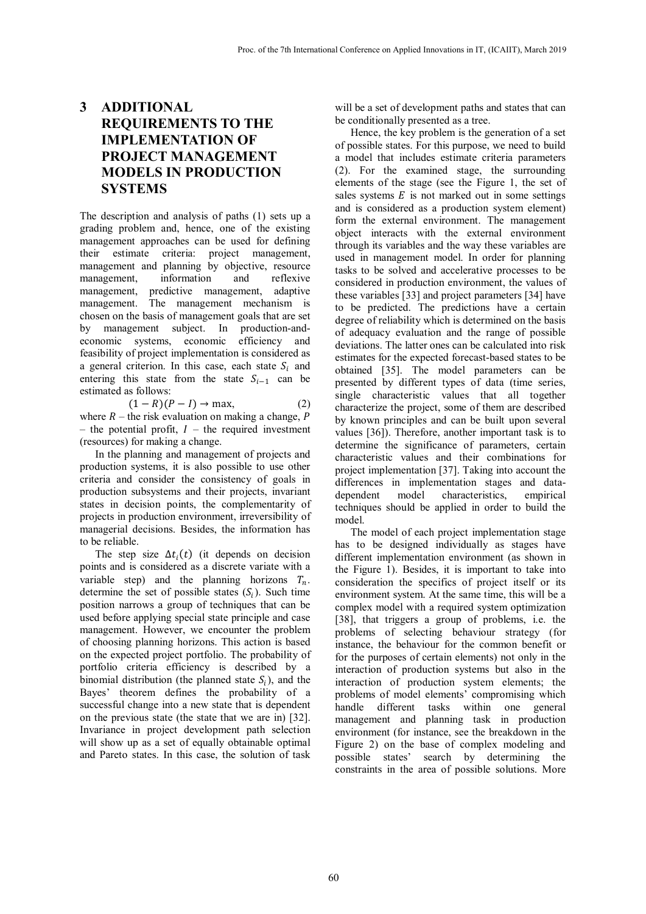### **3 ADDITIONAL REQUIREMENTS TO THE IMPLEMENTATION OF PROJECT MANAGEMENT MODELS IN PRODUCTION SYSTEMS**

The description and analysis of paths (1) sets up a grading problem and, hence, one of the existing management approaches can be used for defining their estimate criteria: project management, management and planning by objective, resource<br>management, information and reflexive management, information and management, predictive management, adaptive management. The management mechanism is chosen on the basis of management goals that are set by management subject. In production-andeconomic systems, economic efficiency and feasibility of project implementation is considered as a general criterion. In this case, each state  $S_i$  and entering this state from the state  $S_{i-1}$  can be estimated as follows:

$$
(1 - R)(P - I) \to \max,\tag{2}
$$

where  $R$  – the risk evaluation on making a change,  $P$ – the potential profit,  $I$  – the required investment (resources) for making a change.

In the planning and management of projects and production systems, it is also possible to use other criteria and consider the consistency of goals in production subsystems and their projects, invariant states in decision points, the complementarity of projects in production environment, irreversibility of managerial decisions. Besides, the information has to be reliable.

The step size  $\Delta t_i(t)$  (it depends on decision points and is considered as a discrete variate with a variable step) and the planning horizons  $T_n$ . determine the set of possible states  $(S_i)$ . Such time position narrows a group of techniques that can be used before applying special state principle and case management. However, we encounter the problem of choosing planning horizons. This action is based on the expected project portfolio. The probability of portfolio criteria efficiency is described by a binomial distribution (the planned state  $S_i$ ), and the Bayes' theorem defines the probability of a successful change into a new state that is dependent on the previous state (the state that we are in) [32]. Invariance in project development path selection will show up as a set of equally obtainable optimal and Pareto states. In this case, the solution of task

will be a set of development paths and states that can be conditionally presented as a tree.

Hence, the key problem is the generation of a set of possible states. For this purpose, we need to build a model that includes estimate criteria parameters (2). For the examined stage, the surrounding elements of the stage (see the Figure 1, the set of sales systems  $E$  is not marked out in some settings and is considered as a production system element) form the external environment. The management object interacts with the external environment through its variables and the way these variables are used in management model. In order for planning tasks to be solved and accelerative processes to be considered in production environment, the values of these variables [33] and project parameters [34] have to be predicted. The predictions have a certain degree of reliability which is determined on the basis of adequacy evaluation and the range of possible deviations. The latter ones can be calculated into risk estimates for the expected forecast-based states to be obtained [35]. The model parameters can be presented by different types of data (time series, single characteristic values that all together characterize the project, some of them are described by known principles and can be built upon several values [36]). Therefore, another important task is to determine the significance of parameters, certain characteristic values and their combinations for project implementation [37]. Taking into account the differences in implementation stages and data-<br>dependent model characteristics, empirical dependent model characteristics, techniques should be applied in order to build the model.

The model of each project implementation stage has to be designed individually as stages have different implementation environment (as shown in the Figure 1). Besides, it is important to take into consideration the specifics of project itself or its environment system. At the same time, this will be a complex model with a required system optimization [38], that triggers a group of problems, i.e. the problems of selecting behaviour strategy (for instance, the behaviour for the common benefit or for the purposes of certain elements) not only in the interaction of production systems but also in the interaction of production system elements; the problems of model elements' compromising which handle different tasks within one general management and planning task in production environment (for instance, see the breakdown in the Figure 2) on the base of complex modeling and possible states' search by determining the constraints in the area of possible solutions. More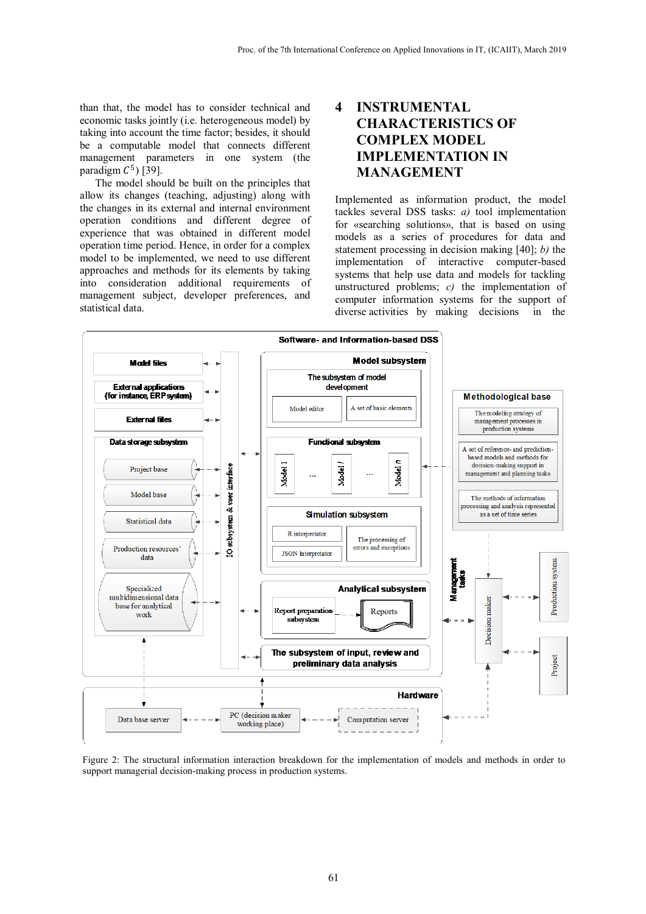than that, the model has to consider technical and economic tasks jointly (i.e. heterogeneous model) by taking into account the time factor; besides, it should be a computable model that connects different management parameters in one system (the paradigm  $C^5$ ) [39].

The model should be built on the principles that allow its changes (teaching, adjusting) along with the changes in its external and internal environment operation conditions and different degree of experience that was obtained in different model operation time period. Hence, in order for a complex model to be implemented, we need to use different approaches and methods for its elements by taking into consideration additional requirements of management subject, developer preferences, and statistical data.

### **4 INSTRUMENTAL CHARACTERISTICS OF COMPLEX MODEL IMPLEMENTATION IN MANAGEMENT**

Implemented as information product, the model tackles several DSS tasks: *a)* tool implementation for «searching solutions», that is based on using models as a series of procedures for data and statement processing in decision making [40]; *b)* the implementation of interactive computer-based systems that help use data and models for tackling unstructured problems; *c)* the implementation of computer information systems for the support of diverse activities by making decisions in the



Figure 2: The structural information interaction breakdown for the implementation of models and methods in order to support managerial decision-making process in production systems.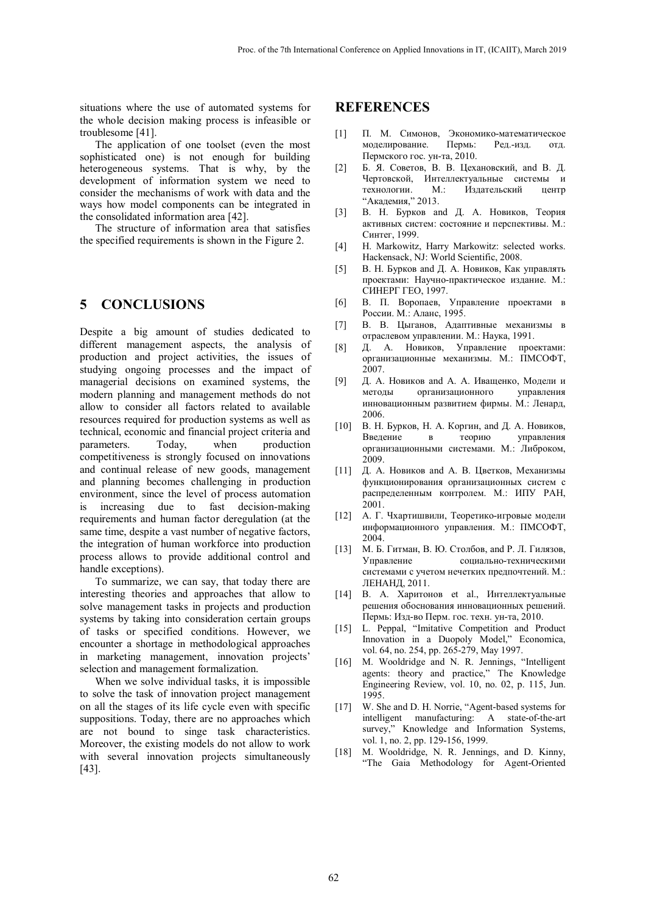situations where the use of automated systems for the whole decision making process is infeasible or troublesome [41].

The application of one toolset (even the most sophisticated one) is not enough for building heterogeneous systems. That is why, by the development of information system we need to consider the mechanisms of work with data and the ways how model components can be integrated in the consolidated information area [42].

The structure of information area that satisfies the specified requirements is shown in the Figure 2.

#### **5 CONCLUSIONS**

Despite a big amount of studies dedicated to different management aspects, the analysis of production and project activities, the issues of studying ongoing processes and the impact of managerial decisions on examined systems, the modern planning and management methods do not allow to consider all factors related to available resources required for production systems as well as technical, economic and financial project criteria and parameters. Today, when production competitiveness is strongly focused on innovations and continual release of new goods, management and planning becomes challenging in production environment, since the level of process automation is increasing due to fast decision-making requirements and human factor deregulation (at the same time, despite a vast number of negative factors, the integration of human workforce into production process allows to provide additional control and handle exceptions).

To summarize, we can say, that today there are interesting theories and approaches that allow to solve management tasks in projects and production systems by taking into consideration certain groups of tasks or specified conditions. However, we encounter a shortage in methodological approaches in marketing management, innovation projects' selection and management formalization.

When we solve individual tasks, it is impossible to solve the task of innovation project management on all the stages of its life cycle even with specific suppositions. Today, there are no approaches which are not bound to singe task characteristics. Moreover, the existing models do not allow to work with several innovation projects simultaneously [43].

#### **REFERENCES**

- [1] П. М. Симонов, Экономико-математическое моделирование. Пермь: Ред.-изд. отд. Пермского гос. ун-та, 2010.
- [2] Б. Я. Советов, В. В. Цехановский, and В. Д. Чертовской, Интеллектуальные системы и технологии. М.: Издательский центр "Академия," 2013.
- [3] В. Н. Бурков and Д. А. Новиков, Теория активных систем: состояние и перспективы. М.: Синтег, 1999.
- [4] H. Markowitz, Harry Markowitz: selected works. Hackensack, NJ: World Scientific, 2008.
- [5] В. Н. Бурков and Д. А. Новиков, Как управлять проектами: Научно-практическое издание. М.: СИНЕРГ ГЕО, 1997.
- [6] В. П. Воропаев, Управление проектами в России. М.: Аланс, 1995.
- [7] В. В. Цыганов, Адаптивные механизмы в отраслевом управлении. М.: Наука, 1991.
- [8] Д. А. Новиков, Управление проектами: организационные механизмы. М.: ПМСОФТ, 2007.
- [9] Д. А. Новиков and А. А. Иващенко, Модели и методы организационного управления инновационным развитием фирмы. М.: Ленард, 2006.
- [10] В. Н. Бурков, Н. А. Коргин, and Д. А. Новиков, Введение в теорию управления организационными системами. М.: Либроком, 2009.
- [11] Д. А. Новиков and А. В. Цветков, Механизмы функционирования организационных систем с распределенным контролем. М.: ИПУ РАН, 2001.
- [12] А. Г. Чхартишвили, Теоретико-игровые модели информационного управления. М.: ПМСОФТ, 2004.
- [13] М. Б. Гитман, В. Ю. Столбов, and Р. Л. Гилязов, Управление социально-техническими системами с учетом нечетких предпочтений. М.: ЛЕНАНД, 2011.
- [14] В. А. Харитонов et al., Интеллектуальные решения обоснования инновационных решений. Пермь: Изд-во Перм. гос. техн. ун-та, 2010.
- [15] L. Peppal, "Imitative Competition and Product Innovation in a Duopoly Model," Economica, vol. 64, no. 254, pp. 265-279, May 1997.
- [16] M. Wooldridge and N. R. Jennings, "Intelligent agents: theory and practice," The Knowledge Engineering Review, vol. 10, no. 02, p. 115, Jun. 1995.
- [17] W. She and D. H. Norrie, "Agent-based systems for intelligent manufacturing: A state-of-the-art survey," Knowledge and Information Systems, vol. 1, no. 2, pp. 129-156, 1999.
- [18] M. Wooldridge, N. R. Jennings, and D. Kinny, "The Gaia Methodology for Agent-Oriented